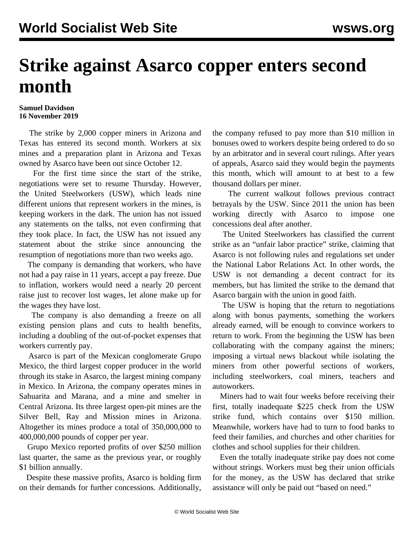## **Strike against Asarco copper enters second month**

## **Samuel Davidson 16 November 2019**

 The strike by 2,000 copper miners in Arizona and Texas has entered its second month. Workers at six mines and a preparation plant in Arizona and Texas owned by Asarco have been out since October 12.

 For the first time since the start of the strike, negotiations were set to resume Thursday. However, the United Steelworkers (USW), which leads nine different unions that represent workers in the mines, is keeping workers in the dark. The union has not issued any statements on the talks, not even confirming that they took place. In fact, the USW has not issued any statement about the strike since announcing the resumption of negotiations more than two weeks ago.

 The company is demanding that workers, who have not had a pay raise in 11 years, accept a pay freeze. Due to inflation, workers would need a nearly 20 percent raise just to recover lost wages, let alone make up for the wages they have lost.

 The company is also demanding a freeze on all existing pension plans and cuts to health benefits, including a doubling of the out-of-pocket expenses that workers currently pay.

 Asarco is part of the Mexican conglomerate Grupo Mexico, the third largest copper producer in the world through its stake in Asarco, the largest mining company in Mexico. In Arizona, the company operates mines in Sahuarita and Marana, and a mine and smelter in Central Arizona. Its three largest open-pit mines are the Silver Bell, Ray and Mission mines in Arizona. Altogether its mines produce a total of 350,000,000 to 400,000,000 pounds of copper per year.

 Grupo Mexico reported profits of over \$250 million last quarter, the same as the previous year, or roughly \$1 billion annually.

 Despite these massive profits, Asarco is holding firm on their demands for further concessions. Additionally,

the company refused to pay more than \$10 million in bonuses owed to workers despite being ordered to do so by an arbitrator and in several court rulings. After years of appeals, Asarco said they would begin the payments this month, which will amount to at best to a few thousand dollars per miner.

 The current walkout follows previous contract betrayals by the USW. Since 2011 the union has been working directly with Asarco to impose one concessions deal after another.

 The United Steelworkers has classified the current strike as an "unfair labor practice" strike, claiming that Asarco is not following rules and regulations set under the National Labor Relations Act. In other words, the USW is not demanding a decent contract for its members, but has limited the strike to the demand that Asarco bargain with the union in good faith.

 The USW is hoping that the return to negotiations along with bonus payments, something the workers already earned, will be enough to convince workers to return to work. From the beginning the USW has been collaborating with the company against the miners; imposing a virtual news blackout while isolating the miners from other powerful sections of workers, including steelworkers, coal miners, teachers and autoworkers.

 Miners had to wait four weeks before receiving their first, totally inadequate \$225 check from the USW strike fund, which contains over \$150 million. Meanwhile, workers have had to turn to food banks to feed their families, and churches and other charities for clothes and school supplies for their children.

 Even the totally inadequate strike pay does not come without strings. Workers must beg their union officials for the money, as the USW has declared that strike assistance will only be paid out "based on need."